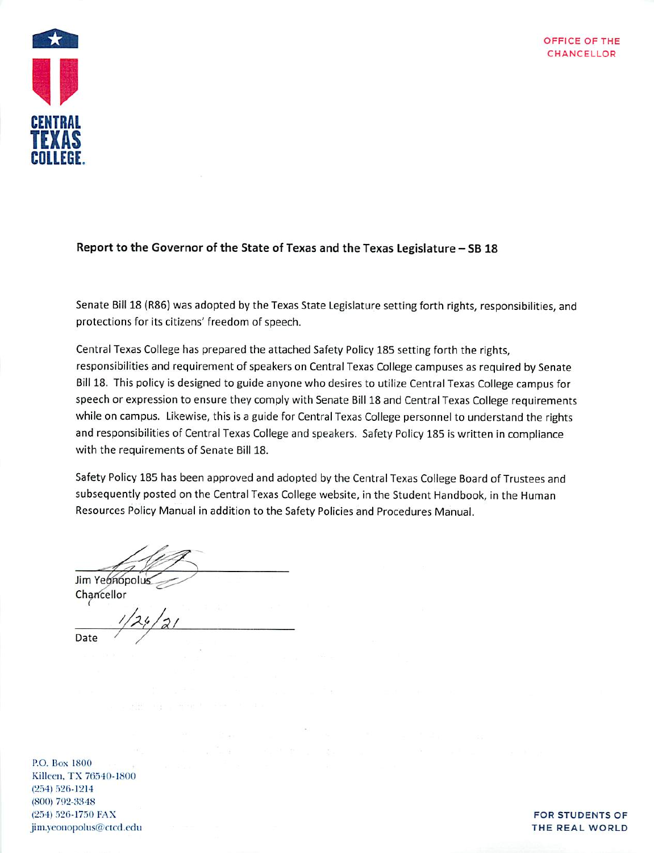

### Report to the Governor of the State of Texas and the Texas Legislature - SB 18

Senate Bill 18 (R86) was adopted by the Texas State Legislature setting forth rights, responsibilities, and protections for its citizens' freedom of speech.

Central Texas College has prepared the attached Safety Policy 185 setting forth the rights, responsibilities and requirement of speakers on Central Texas College campuses as required by Senate Bill 18. This policy is designed to guide anyone who desires to utilize Central Texas College campus for speech or expression to ensure they comply with Senate Bill 18 and Central Texas College requirements while on campus. Likewise, this is a guide for Central Texas College personnel to understand the rights and responsibilities of Central Texas College and speakers. Safety Policy 185 is written in compliance with the requirements of Senate Bill 18.

Safety Policy 185 has been approved and adopted by the Central Texas College Board of Trustees and subsequently posted on the Central Texas College website, in the Student Handbook, in the Human Resources Policy Manual in addition to the Safety Policies and Procedures Manual.

Jim Yeónopolus Chancellor

Date

P.O. Box 1800 Killeen, TX 76540-1800  $(254) 526 - 1214$  $(800)$  792-3348 (254) 526-1750 FAX jim.yeonopolus@ctcd.edu

#### **FOR STUDENTS OF** THE REAL WORLD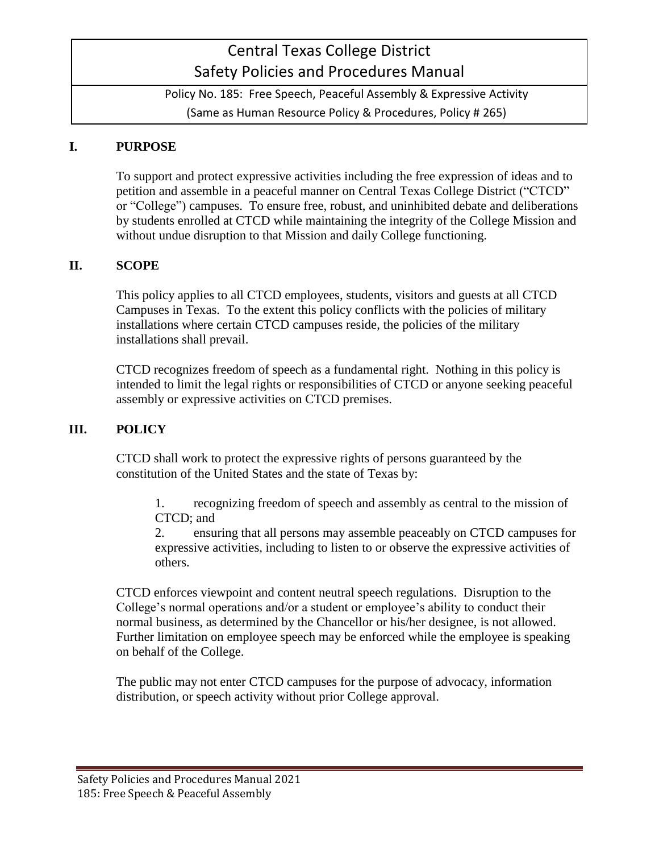# Central Texas College District Safety Policies and Procedures Manual

Policy No. 185: Free Speech, Peaceful Assembly & Expressive Activity (Same as Human Resource Policy & Procedures, Policy # 265)

### **I. PURPOSE**

To support and protect expressive activities including the free expression of ideas and to petition and assemble in a peaceful manner on Central Texas College District ("CTCD" or "College") campuses. To ensure free, robust, and uninhibited debate and deliberations by students enrolled at CTCD while maintaining the integrity of the College Mission and without undue disruption to that Mission and daily College functioning.

#### **II. SCOPE**

This policy applies to all CTCD employees, students, visitors and guests at all CTCD Campuses in Texas. To the extent this policy conflicts with the policies of military installations where certain CTCD campuses reside, the policies of the military installations shall prevail.

CTCD recognizes freedom of speech as a fundamental right. Nothing in this policy is intended to limit the legal rights or responsibilities of CTCD or anyone seeking peaceful assembly or expressive activities on CTCD premises.

#### **III. POLICY**

CTCD shall work to protect the expressive rights of persons guaranteed by the constitution of the United States and the state of Texas by:

1. recognizing freedom of speech and assembly as central to the mission of CTCD; and

2. ensuring that all persons may assemble peaceably on CTCD campuses for expressive activities, including to listen to or observe the expressive activities of others.

CTCD enforces viewpoint and content neutral speech regulations. Disruption to the College's normal operations and/or a student or employee's ability to conduct their normal business, as determined by the Chancellor or his/her designee, is not allowed. Further limitation on employee speech may be enforced while the employee is speaking on behalf of the College.

The public may not enter CTCD campuses for the purpose of advocacy, information distribution, or speech activity without prior College approval.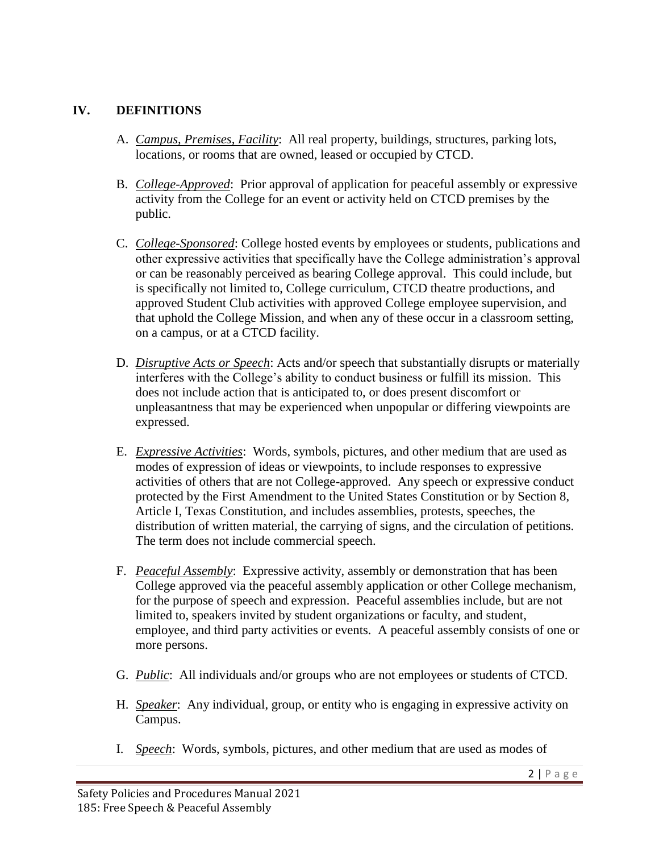## **IV. DEFINITIONS**

- A. *Campus, Premises, Facility*: All real property, buildings, structures, parking lots, locations, or rooms that are owned, leased or occupied by CTCD.
- B. *College-Approved*: Prior approval of application for peaceful assembly or expressive activity from the College for an event or activity held on CTCD premises by the public.
- C. *College-Sponsored*: College hosted events by employees or students, publications and other expressive activities that specifically have the College administration's approval or can be reasonably perceived as bearing College approval. This could include, but is specifically not limited to, College curriculum, CTCD theatre productions, and approved Student Club activities with approved College employee supervision, and that uphold the College Mission, and when any of these occur in a classroom setting, on a campus, or at a CTCD facility.
- D. *Disruptive Acts or Speech*: Acts and/or speech that substantially disrupts or materially interferes with the College's ability to conduct business or fulfill its mission. This does not include action that is anticipated to, or does present discomfort or unpleasantness that may be experienced when unpopular or differing viewpoints are expressed.
- E. *Expressive Activities*: Words, symbols, pictures, and other medium that are used as modes of expression of ideas or viewpoints, to include responses to expressive activities of others that are not College-approved. Any speech or expressive conduct protected by the First Amendment to the United States Constitution or by Section 8, Article I, Texas Constitution, and includes assemblies, protests, speeches, the distribution of written material, the carrying of signs, and the circulation of petitions. The term does not include commercial speech.
- F. *Peaceful Assembly*: Expressive activity, assembly or demonstration that has been College approved via the peaceful assembly application or other College mechanism, for the purpose of speech and expression. Peaceful assemblies include, but are not limited to, speakers invited by student organizations or faculty, and student, employee, and third party activities or events. A peaceful assembly consists of one or more persons.
- G. *Public*: All individuals and/or groups who are not employees or students of CTCD.
- H. *Speaker*: Any individual, group, or entity who is engaging in expressive activity on Campus.
- I. *Speech*: Words, symbols, pictures, and other medium that are used as modes of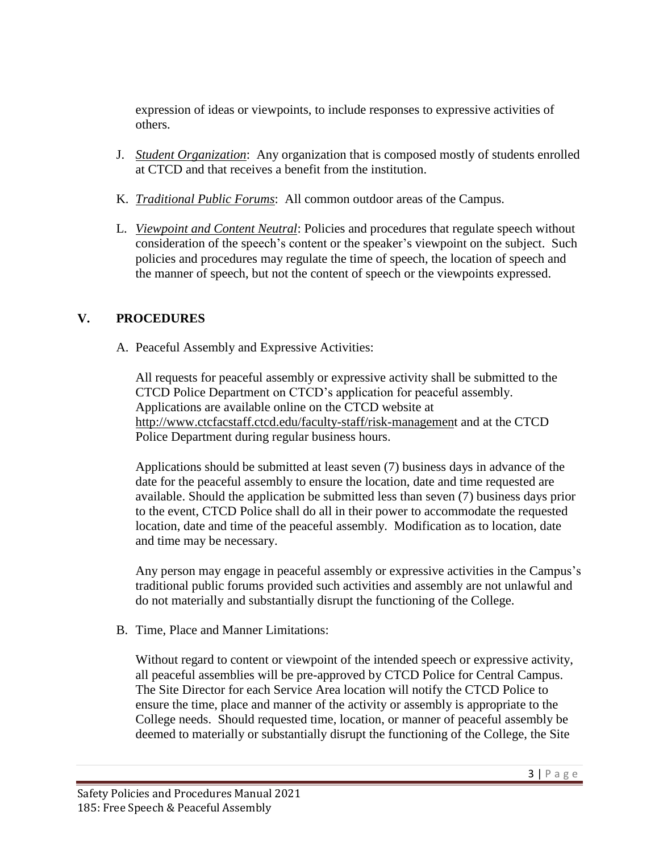expression of ideas or viewpoints, to include responses to expressive activities of others.

- J. *Student Organization*: Any organization that is composed mostly of students enrolled at CTCD and that receives a benefit from the institution.
- K. *Traditional Public Forums*: All common outdoor areas of the Campus.
- L. *Viewpoint and Content Neutral*: Policies and procedures that regulate speech without consideration of the speech's content or the speaker's viewpoint on the subject. Such policies and procedures may regulate the time of speech, the location of speech and the manner of speech, but not the content of speech or the viewpoints expressed.

## **V. PROCEDURES**

A. Peaceful Assembly and Expressive Activities:

All requests for peaceful assembly or expressive activity shall be submitted to the CTCD Police Department on CTCD's application for peaceful assembly. Applications are available online on the CTCD website at [http://www.ctcfacstaff.ctcd.edu/faculty-staff/risk-management](http://www.ctcfacstaff.ctcd.edu/faculty-staff/risk-managemen) and at the CTCD Police Department during regular business hours.

Applications should be submitted at least seven (7) business days in advance of the date for the peaceful assembly to ensure the location, date and time requested are available. Should the application be submitted less than seven (7) business days prior to the event, CTCD Police shall do all in their power to accommodate the requested location, date and time of the peaceful assembly. Modification as to location, date and time may be necessary.

Any person may engage in peaceful assembly or expressive activities in the Campus's traditional public forums provided such activities and assembly are not unlawful and do not materially and substantially disrupt the functioning of the College.

B. Time, Place and Manner Limitations:

Without regard to content or viewpoint of the intended speech or expressive activity, all peaceful assemblies will be pre-approved by CTCD Police for Central Campus. The Site Director for each Service Area location will notify the CTCD Police to ensure the time, place and manner of the activity or assembly is appropriate to the College needs. Should requested time, location, or manner of peaceful assembly be deemed to materially or substantially disrupt the functioning of the College, the Site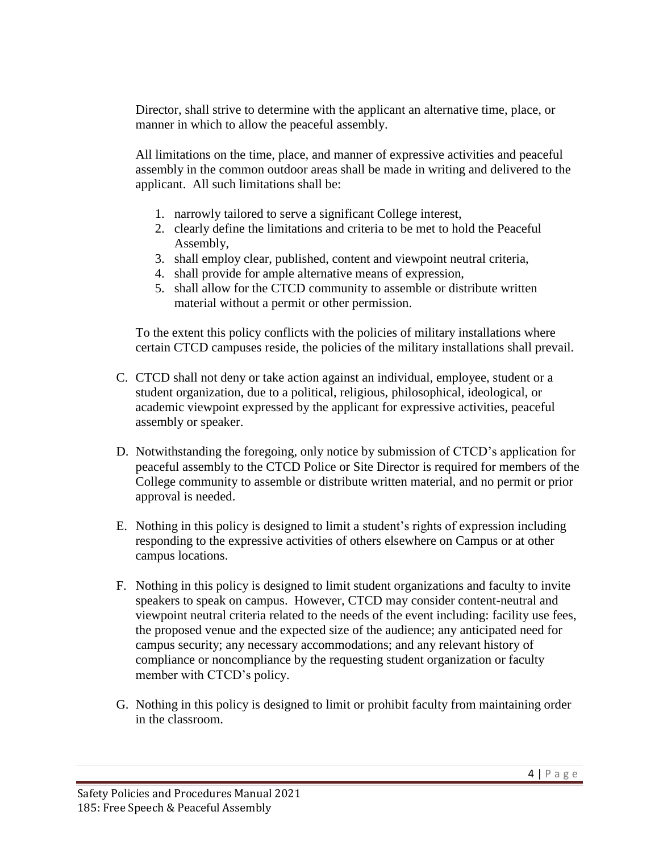Director, shall strive to determine with the applicant an alternative time, place, or manner in which to allow the peaceful assembly.

All limitations on the time, place, and manner of expressive activities and peaceful assembly in the common outdoor areas shall be made in writing and delivered to the applicant. All such limitations shall be:

- 1. narrowly tailored to serve a significant College interest,
- 2. clearly define the limitations and criteria to be met to hold the Peaceful Assembly,
- 3. shall employ clear, published, content and viewpoint neutral criteria,
- 4. shall provide for ample alternative means of expression,
- 5. shall allow for the CTCD community to assemble or distribute written material without a permit or other permission.

To the extent this policy conflicts with the policies of military installations where certain CTCD campuses reside, the policies of the military installations shall prevail.

- C. CTCD shall not deny or take action against an individual, employee, student or a student organization, due to a political, religious, philosophical, ideological, or academic viewpoint expressed by the applicant for expressive activities, peaceful assembly or speaker.
- D. Notwithstanding the foregoing, only notice by submission of CTCD's application for peaceful assembly to the CTCD Police or Site Director is required for members of the College community to assemble or distribute written material, and no permit or prior approval is needed.
- E. Nothing in this policy is designed to limit a student's rights of expression including responding to the expressive activities of others elsewhere on Campus or at other campus locations.
- F. Nothing in this policy is designed to limit student organizations and faculty to invite speakers to speak on campus. However, CTCD may consider content-neutral and viewpoint neutral criteria related to the needs of the event including: facility use fees, the proposed venue and the expected size of the audience; any anticipated need for campus security; any necessary accommodations; and any relevant history of compliance or noncompliance by the requesting student organization or faculty member with CTCD's policy.
- G. Nothing in this policy is designed to limit or prohibit faculty from maintaining order in the classroom.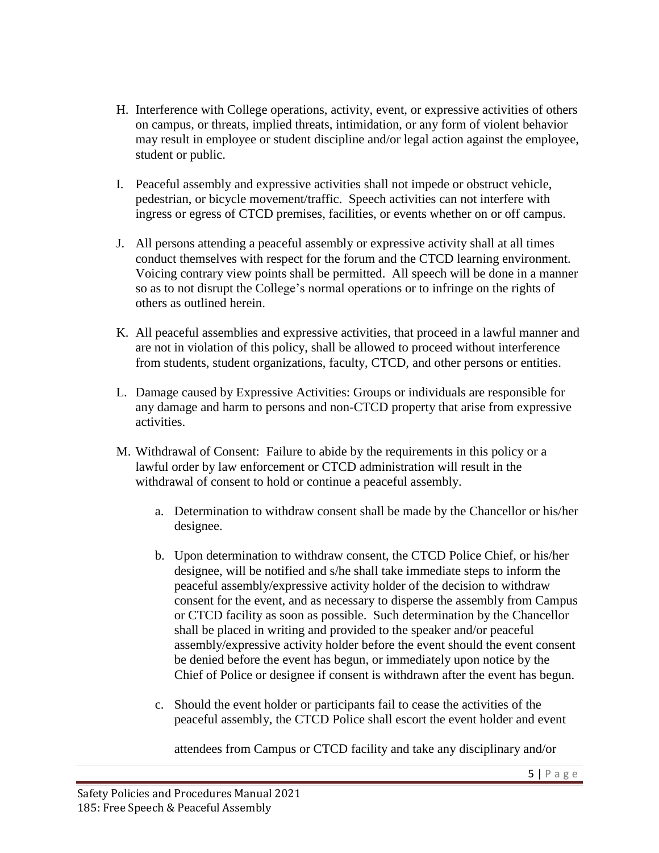- H. Interference with College operations, activity, event, or expressive activities of others on campus, or threats, implied threats, intimidation, or any form of violent behavior may result in employee or student discipline and/or legal action against the employee, student or public.
- I. Peaceful assembly and expressive activities shall not impede or obstruct vehicle, pedestrian, or bicycle movement/traffic. Speech activities can not interfere with ingress or egress of CTCD premises, facilities, or events whether on or off campus.
- J. All persons attending a peaceful assembly or expressive activity shall at all times conduct themselves with respect for the forum and the CTCD learning environment. Voicing contrary view points shall be permitted. All speech will be done in a manner so as to not disrupt the College's normal operations or to infringe on the rights of others as outlined herein.
- K. All peaceful assemblies and expressive activities, that proceed in a lawful manner and are not in violation of this policy, shall be allowed to proceed without interference from students, student organizations, faculty, CTCD, and other persons or entities.
- L. Damage caused by Expressive Activities: Groups or individuals are responsible for any damage and harm to persons and non-CTCD property that arise from expressive activities.
- M. Withdrawal of Consent: Failure to abide by the requirements in this policy or a lawful order by law enforcement or CTCD administration will result in the withdrawal of consent to hold or continue a peaceful assembly.
	- a. Determination to withdraw consent shall be made by the Chancellor or his/her designee.
	- b. Upon determination to withdraw consent, the CTCD Police Chief, or his/her designee, will be notified and s/he shall take immediate steps to inform the peaceful assembly/expressive activity holder of the decision to withdraw consent for the event, and as necessary to disperse the assembly from Campus or CTCD facility as soon as possible. Such determination by the Chancellor shall be placed in writing and provided to the speaker and/or peaceful assembly/expressive activity holder before the event should the event consent be denied before the event has begun, or immediately upon notice by the Chief of Police or designee if consent is withdrawn after the event has begun.
	- c. Should the event holder or participants fail to cease the activities of the peaceful assembly, the CTCD Police shall escort the event holder and event

attendees from Campus or CTCD facility and take any disciplinary and/or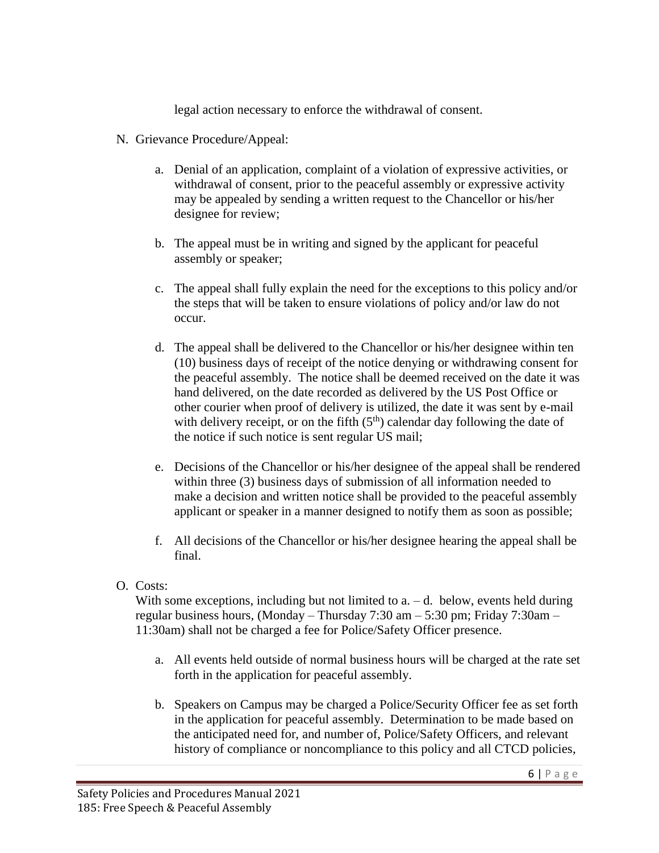legal action necessary to enforce the withdrawal of consent.

- N. Grievance Procedure/Appeal:
	- a. Denial of an application, complaint of a violation of expressive activities, or withdrawal of consent, prior to the peaceful assembly or expressive activity may be appealed by sending a written request to the Chancellor or his/her designee for review;
	- b. The appeal must be in writing and signed by the applicant for peaceful assembly or speaker;
	- c. The appeal shall fully explain the need for the exceptions to this policy and/or the steps that will be taken to ensure violations of policy and/or law do not occur.
	- d. The appeal shall be delivered to the Chancellor or his/her designee within ten (10) business days of receipt of the notice denying or withdrawing consent for the peaceful assembly. The notice shall be deemed received on the date it was hand delivered, on the date recorded as delivered by the US Post Office or other courier when proof of delivery is utilized, the date it was sent by e-mail with delivery receipt, or on the fifth  $(5<sup>th</sup>)$  calendar day following the date of the notice if such notice is sent regular US mail;
	- e. Decisions of the Chancellor or his/her designee of the appeal shall be rendered within three (3) business days of submission of all information needed to make a decision and written notice shall be provided to the peaceful assembly applicant or speaker in a manner designed to notify them as soon as possible;
	- f. All decisions of the Chancellor or his/her designee hearing the appeal shall be final.
- O. Costs:

With some exceptions, including but not limited to  $a - d$ . below, events held during regular business hours, (Monday – Thursday 7:30 am – 5:30 pm; Friday 7:30am – 11:30am) shall not be charged a fee for Police/Safety Officer presence.

- a. All events held outside of normal business hours will be charged at the rate set forth in the application for peaceful assembly.
- b. Speakers on Campus may be charged a Police/Security Officer fee as set forth in the application for peaceful assembly. Determination to be made based on the anticipated need for, and number of, Police/Safety Officers, and relevant history of compliance or noncompliance to this policy and all CTCD policies,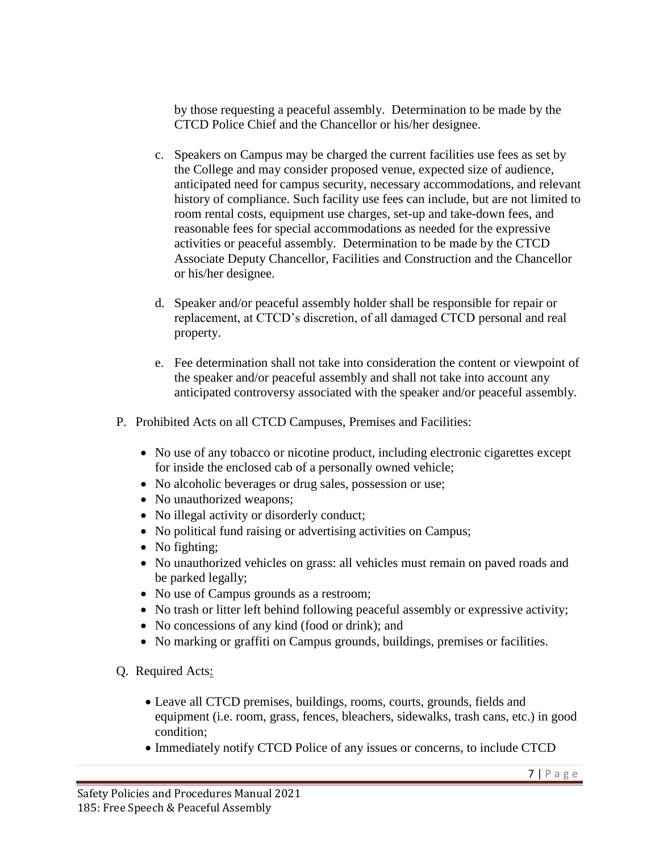by those requesting a peaceful assembly. Determination to be made by the CTCD Police Chief and the Chancellor or his/her designee.

- c. Speakers on Campus may be charged the current facilities use fees as set by the College and may consider proposed venue, expected size of audience, anticipated need for campus security, necessary accommodations, and relevant history of compliance. Such facility use fees can include, but are not limited to room rental costs, equipment use charges, set-up and take-down fees, and reasonable fees for special accommodations as needed for the expressive activities or peaceful assembly. Determination to be made by the CTCD Associate Deputy Chancellor, Facilities and Construction and the Chancellor or his/her designee.
- d. Speaker and/or peaceful assembly holder shall be responsible for repair or replacement, at CTCD's discretion, of all damaged CTCD personal and real property.
- e. Fee determination shall not take into consideration the content or viewpoint of the speaker and/or peaceful assembly and shall not take into account any anticipated controversy associated with the speaker and/or peaceful assembly.
- P. Prohibited Acts on all CTCD Campuses, Premises and Facilities:
	- No use of any tobacco or nicotine product, including electronic cigarettes except for inside the enclosed cab of a personally owned vehicle;
	- No alcoholic beverages or drug sales, possession or use;
	- No unauthorized weapons;
	- No illegal activity or disorderly conduct;
	- No political fund raising or advertising activities on Campus;
	- No fighting;
	- No unauthorized vehicles on grass: all vehicles must remain on paved roads and be parked legally;
	- No use of Campus grounds as a restroom;
	- No trash or litter left behind following peaceful assembly or expressive activity;
	- No concessions of any kind (food or drink); and
	- No marking or graffiti on Campus grounds, buildings, premises or facilities.
- Q. Required Acts:
	- Leave all CTCD premises, buildings, rooms, courts, grounds, fields and equipment (i.e. room, grass, fences, bleachers, sidewalks, trash cans, etc.) in good condition;
	- Immediately notify CTCD Police of any issues or concerns, to include CTCD